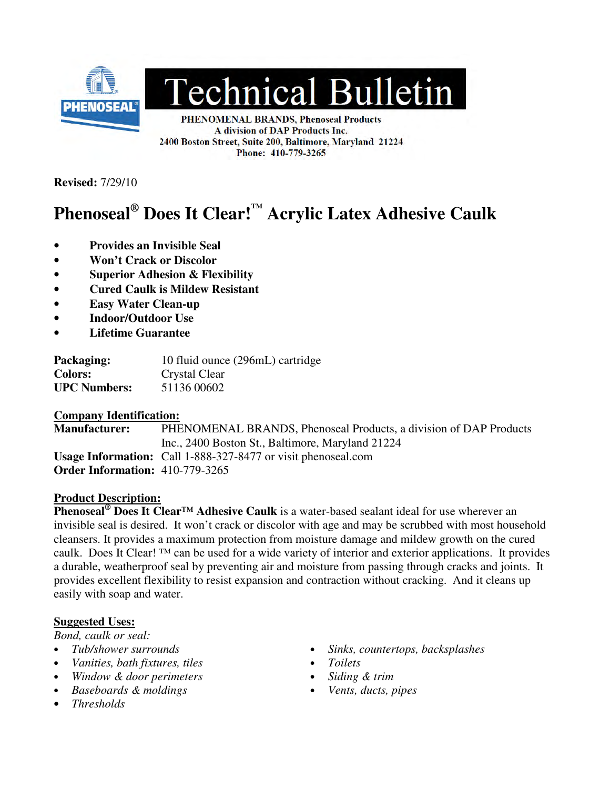

# **Technical Bulletin**

PHENOMENAL BRANDS, Phenoseal Products A division of DAP Products Inc. 2400 Boston Street, Suite 200, Baltimore, Maryland 21224 Phone: 410-779-3265

**Revised:** 7/29/10

# **Phenoseal® Does It Clear!™ Acrylic Latex Adhesive Caulk**

- **Provides an Invisible Seal**
- **Won't Crack or Discolor**
- **Superior Adhesion & Flexibility**
- **Cured Caulk is Mildew Resistant**
- **Easy Water Clean-up**
- **Indoor/Outdoor Use**
- **Lifetime Guarantee**

**Packaging:** 10 fluid ounce (296mL) cartridge **Colors:** Crystal Clear **UPC Numbers:** 51136 00602

#### **Company Identification:**

**Manufacturer:** PHENOMENAL BRANDS, Phenoseal Products, a division of DAP Products Inc., 2400 Boston St., Baltimore, Maryland 21224 **Usage Information:** Call 1-888-327-8477 or visit phenoseal.com **Order Information:** 410-779-3265

#### **Product Description:**

**Phenoseal<sup>®</sup> Does It Clear<sup>™</sup> Adhesive Caulk** is a water-based sealant ideal for use wherever an invisible seal is desired. It won't crack or discolor with age and may be scrubbed with most household cleansers. It provides a maximum protection from moisture damage and mildew growth on the cured caulk. Does It Clear! ™ can be used for a wide variety of interior and exterior applications. It provides a durable, weatherproof seal by preventing air and moisture from passing through cracks and joints. It provides excellent flexibility to resist expansion and contraction without cracking. And it cleans up easily with soap and water.

#### **Suggested Uses:**

*Bond, caulk or seal:* 

- 
- *Vanities, bath fixtures, tiles Toilets*
- *Window & door perimeters Siding & trim*
- *Baseboards & moldings Vents, ducts, pipes*
- *Thresholds*
- *Tub/shower surrounds Sinks, countertops, backsplashes* 
	-
	-
	-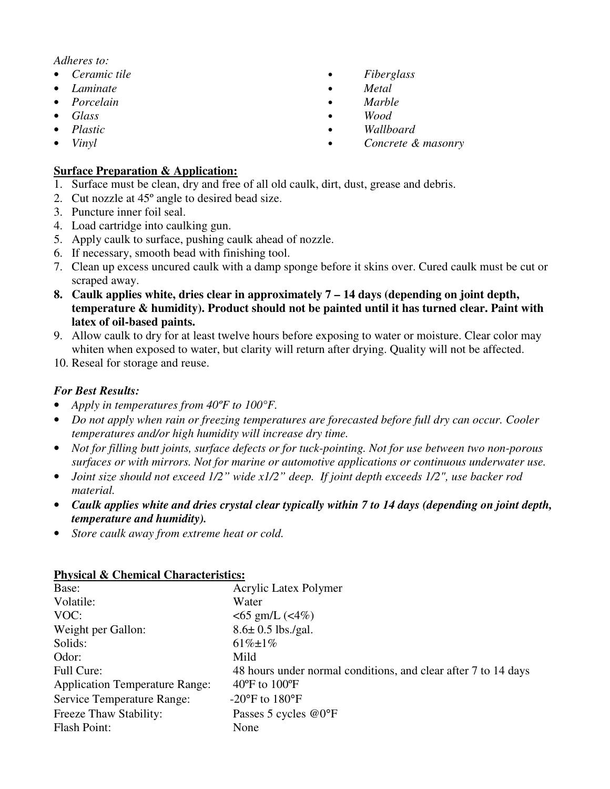#### *Adheres to:*

- 
- 
- 
- 
- 
- 

#### **Surface Preparation & Application:**

- 1. Surface must be clean, dry and free of all old caulk, dirt, dust, grease and debris.
- 2. Cut nozzle at 45º angle to desired bead size.
- 3. Puncture inner foil seal.
- 4. Load cartridge into caulking gun.
- 5. Apply caulk to surface, pushing caulk ahead of nozzle.
- 6. If necessary, smooth bead with finishing tool.
- 7. Clean up excess uncured caulk with a damp sponge before it skins over. Cured caulk must be cut or scraped away.
- **8. Caulk applies white, dries clear in approximately 7 14 days (depending on joint depth, temperature & humidity). Product should not be painted until it has turned clear. Paint with latex of oil-based paints.**
- 9. Allow caulk to dry for at least twelve hours before exposing to water or moisture. Clear color may whiten when exposed to water, but clarity will return after drying. Quality will not be affected.
- 10. Reseal for storage and reuse.

## *For Best Results:*

- *Apply in temperatures from 40ºF to 100°F.*
- *Do not apply when rain or freezing temperatures are forecasted before full dry can occur. Cooler temperatures and/or high humidity will increase dry time.*
- *Not for filling butt joints, surface defects or for tuck-pointing. Not for use between two non-porous surfaces or with mirrors. Not for marine or automotive applications or continuous underwater use.*
- *Joint size should not exceed 1/2" wide x1/2" deep. If joint depth exceeds 1/2", use backer rod material.*
- *Caulk applies white and dries crystal clear typically within 7 to 14 days (depending on joint depth, temperature and humidity).*
- *Store caulk away from extreme heat or cold.*

#### **Physical & Chemical Characteristics:**

| Base:                                 | Acrylic Latex Polymer                                          |
|---------------------------------------|----------------------------------------------------------------|
| Volatile:                             | Water                                                          |
| VOC:                                  | $<$ 65 gm/L ( $<$ 4%)                                          |
| Weight per Gallon:                    | $8.6 \pm 0.5$ lbs./gal.                                        |
| Solids:                               | $61\% \pm 1\%$                                                 |
| Odor:                                 | Mild                                                           |
| Full Cure:                            | 48 hours under normal conditions, and clear after 7 to 14 days |
| <b>Application Temperature Range:</b> | $40^{\circ}$ F to $100^{\circ}$ F                              |
| Service Temperature Range:            | $-20^{\circ}$ F to $180^{\circ}$ F                             |
| Freeze Thaw Stability:                | Passes 5 cycles @0°F                                           |
| Flash Point:                          | None                                                           |

- *Ceramic tile Fiberglass*
- *Laminate Metal*
- *Porcelain Marble*
- *Glass Wood*
- *Plastic Wallboard* 
	- *Vinyl Concrete & masonry*